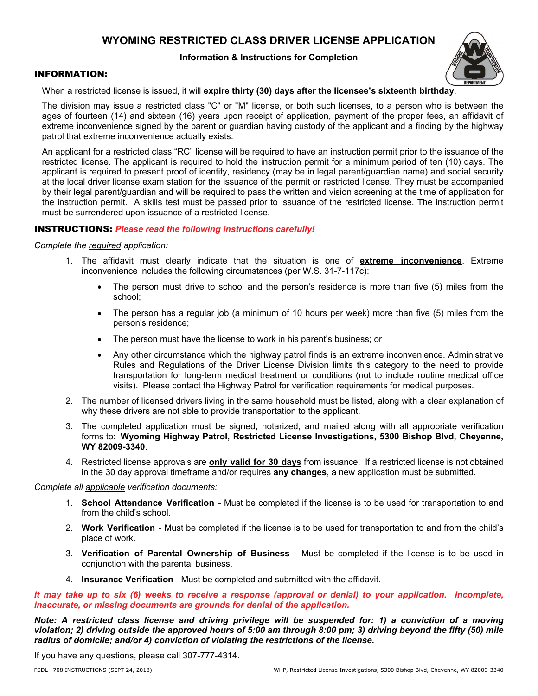# **WYOMING RESTRICTED CLASS DRIVER LICENSE APPLICATION**

### **Information & Instructions for Completion**



#### INFORMATION:

When a restricted license is issued, it will **expire thirty (30) days after the licensee's sixteenth birthday**.

The division may issue a restricted class "C" or "M" license, or both such licenses, to a person who is between the ages of fourteen (14) and sixteen (16) years upon receipt of application, payment of the proper fees, an affidavit of extreme inconvenience signed by the parent or guardian having custody of the applicant and a finding by the highway patrol that extreme inconvenience actually exists.

An applicant for a restricted class "RC" license will be required to have an instruction permit prior to the issuance of the restricted license. The applicant is required to hold the instruction permit for a minimum period of ten (10) days. The applicant is required to present proof of identity, residency (may be in legal parent/guardian name) and social security at the local driver license exam station for the issuance of the permit or restricted license. They must be accompanied by their legal parent/guardian and will be required to pass the written and vision screening at the time of application for the instruction permit. A skills test must be passed prior to issuance of the restricted license. The instruction permit must be surrendered upon issuance of a restricted license.

### INSTRUCTIONS: *Please read the following instructions carefully!*

*Complete the required application:* 

- 1. The affidavit must clearly indicate that the situation is one of **extreme inconvenience**. Extreme inconvenience includes the following circumstances (per W.S. 31-7-117c):
	- The person must drive to school and the person's residence is more than five (5) miles from the school;
	- The person has a regular job (a minimum of 10 hours per week) more than five (5) miles from the person's residence;
	- The person must have the license to work in his parent's business; or
	- Any other circumstance which the highway patrol finds is an extreme inconvenience. Administrative Rules and Regulations of the Driver License Division limits this category to the need to provide transportation for long-term medical treatment or conditions (not to include routine medical office visits). Please contact the Highway Patrol for verification requirements for medical purposes.
- 2. The number of licensed drivers living in the same household must be listed, along with a clear explanation of why these drivers are not able to provide transportation to the applicant.
- 3. The completed application must be signed, notarized, and mailed along with all appropriate verification forms to: **Wyoming Highway Patrol, Restricted License Investigations, 5300 Bishop Blvd, Cheyenne, WY 82009-3340**.
- 4. Restricted license approvals are **only valid for 30 days** from issuance. If a restricted license is not obtained in the 30 day approval timeframe and/or requires **any changes**, a new application must be submitted.

#### *Complete all applicable verification documents:*

- 1. **School Attendance Verification**  Must be completed if the license is to be used for transportation to and from the child's school.
- 2. **Work Verification**  Must be completed if the license is to be used for transportation to and from the child's place of work.
- 3. **Verification of Parental Ownership of Business**  Must be completed if the license is to be used in conjunction with the parental business.
- 4. **Insurance Verification**  Must be completed and submitted with the affidavit.

*It may take up to six (6) weeks to receive a response (approval or denial) to your application. Incomplete, inaccurate, or missing documents are grounds for denial of the application.* 

*Note: A restricted class license and driving privilege will be suspended for: 1) a conviction of a moving violation; 2) driving outside the approved hours of 5:00 am through 8:00 pm; 3) driving beyond the fifty (50) mile radius of domicile; and/or 4) conviction of violating the restrictions of the license.* 

If you have any questions, please call 307-777-4314.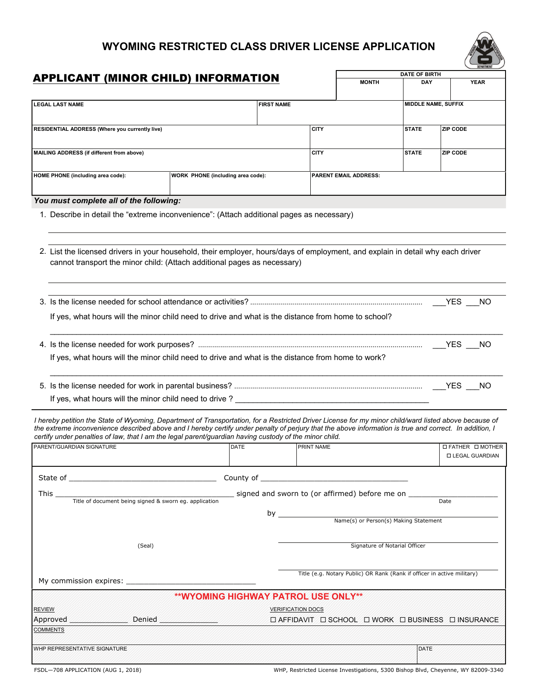# **WYOMING RESTRICTED CLASS DRIVER LICENSE APPLICATION**



|                                                                                                                                                                                                                                                                                                                                                                                                                           |                                                                                                                                                                                                                                |  | <b>DATE OF BIRTH</b>     |             |                              | DEFARTMENT                                                              |                     |                 |                          |
|---------------------------------------------------------------------------------------------------------------------------------------------------------------------------------------------------------------------------------------------------------------------------------------------------------------------------------------------------------------------------------------------------------------------------|--------------------------------------------------------------------------------------------------------------------------------------------------------------------------------------------------------------------------------|--|--------------------------|-------------|------------------------------|-------------------------------------------------------------------------|---------------------|-----------------|--------------------------|
| <b>APPLICANT (MINOR CHILD) INFORMATION</b>                                                                                                                                                                                                                                                                                                                                                                                |                                                                                                                                                                                                                                |  |                          |             |                              | <b>MONTH</b>                                                            | DAY                 |                 | <b>YEAR</b>              |
|                                                                                                                                                                                                                                                                                                                                                                                                                           |                                                                                                                                                                                                                                |  |                          |             |                              |                                                                         |                     |                 |                          |
| <b>LEGAL LAST NAME</b>                                                                                                                                                                                                                                                                                                                                                                                                    |                                                                                                                                                                                                                                |  | <b>FIRST NAME</b>        |             |                              |                                                                         | MIDDLE NAME, SUFFIX |                 |                          |
|                                                                                                                                                                                                                                                                                                                                                                                                                           |                                                                                                                                                                                                                                |  |                          |             |                              |                                                                         |                     |                 |                          |
| RESIDENTIAL ADDRESS (Where you currently live)                                                                                                                                                                                                                                                                                                                                                                            |                                                                                                                                                                                                                                |  |                          | <b>CITY</b> |                              |                                                                         | <b>STATE</b>        | <b>ZIP CODE</b> |                          |
|                                                                                                                                                                                                                                                                                                                                                                                                                           |                                                                                                                                                                                                                                |  |                          |             |                              |                                                                         |                     |                 |                          |
| MAILING ADDRESS (if different from above)                                                                                                                                                                                                                                                                                                                                                                                 |                                                                                                                                                                                                                                |  |                          | <b>CITY</b> |                              |                                                                         | <b>STATE</b>        | <b>ZIP CODE</b> |                          |
|                                                                                                                                                                                                                                                                                                                                                                                                                           |                                                                                                                                                                                                                                |  |                          |             |                              |                                                                         |                     |                 |                          |
| HOME PHONE (including area code):                                                                                                                                                                                                                                                                                                                                                                                         | WORK PHONE (including area code):                                                                                                                                                                                              |  |                          |             | <b>PARENT EMAIL ADDRESS:</b> |                                                                         |                     |                 |                          |
|                                                                                                                                                                                                                                                                                                                                                                                                                           |                                                                                                                                                                                                                                |  |                          |             |                              |                                                                         |                     |                 |                          |
| You must complete all of the following:                                                                                                                                                                                                                                                                                                                                                                                   |                                                                                                                                                                                                                                |  |                          |             |                              |                                                                         |                     |                 |                          |
| 1. Describe in detail the "extreme inconvenience": (Attach additional pages as necessary)                                                                                                                                                                                                                                                                                                                                 |                                                                                                                                                                                                                                |  |                          |             |                              |                                                                         |                     |                 |                          |
|                                                                                                                                                                                                                                                                                                                                                                                                                           |                                                                                                                                                                                                                                |  |                          |             |                              |                                                                         |                     |                 |                          |
| 2. List the licensed drivers in your household, their employer, hours/days of employment, and explain in detail why each driver<br>cannot transport the minor child: (Attach additional pages as necessary)                                                                                                                                                                                                               |                                                                                                                                                                                                                                |  |                          |             |                              |                                                                         |                     |                 |                          |
|                                                                                                                                                                                                                                                                                                                                                                                                                           |                                                                                                                                                                                                                                |  |                          |             |                              |                                                                         |                     |                 |                          |
|                                                                                                                                                                                                                                                                                                                                                                                                                           |                                                                                                                                                                                                                                |  |                          |             |                              |                                                                         |                     |                 |                          |
| If yes, what hours will the minor child need to drive and what is the distance from home to school?                                                                                                                                                                                                                                                                                                                       |                                                                                                                                                                                                                                |  |                          |             |                              |                                                                         |                     |                 |                          |
|                                                                                                                                                                                                                                                                                                                                                                                                                           |                                                                                                                                                                                                                                |  |                          |             |                              |                                                                         |                     |                 |                          |
| If yes, what hours will the minor child need to drive and what is the distance from home to work?                                                                                                                                                                                                                                                                                                                         |                                                                                                                                                                                                                                |  |                          |             |                              |                                                                         |                     |                 |                          |
|                                                                                                                                                                                                                                                                                                                                                                                                                           |                                                                                                                                                                                                                                |  |                          |             |                              |                                                                         |                     |                 |                          |
|                                                                                                                                                                                                                                                                                                                                                                                                                           |                                                                                                                                                                                                                                |  |                          |             |                              |                                                                         |                     |                 |                          |
|                                                                                                                                                                                                                                                                                                                                                                                                                           |                                                                                                                                                                                                                                |  |                          |             |                              |                                                                         |                     |                 |                          |
| If yes, what hours will the minor child need to drive? _________________________                                                                                                                                                                                                                                                                                                                                          |                                                                                                                                                                                                                                |  |                          |             |                              |                                                                         |                     |                 |                          |
| I hereby petition the State of Wyoming, Department of Transportation, for a Restricted Driver License for my minor child/ward listed above because of<br>the extreme inconvenience described above and I hereby certify under penalty of perjury that the above information is true and correct. In addition, I<br>certify under penalties of law, that I am the legal parent/guardian having custody of the minor child. |                                                                                                                                                                                                                                |  |                          |             |                              |                                                                         |                     |                 |                          |
| PARENT/GUARDIAN SIGNATURE                                                                                                                                                                                                                                                                                                                                                                                                 | <b>DATE</b>                                                                                                                                                                                                                    |  |                          | PRINT NAME  |                              |                                                                         |                     |                 | <b>□ FATHER □ MOTHER</b> |
|                                                                                                                                                                                                                                                                                                                                                                                                                           |                                                                                                                                                                                                                                |  |                          |             |                              |                                                                         |                     |                 | <b>LEGAL GUARDIAN</b>    |
|                                                                                                                                                                                                                                                                                                                                                                                                                           |                                                                                                                                                                                                                                |  |                          |             |                              |                                                                         |                     |                 |                          |
|                                                                                                                                                                                                                                                                                                                                                                                                                           |                                                                                                                                                                                                                                |  |                          |             |                              |                                                                         |                     |                 |                          |
| This $\overline{\phantom{0}}$<br>Title of document being signed & sworn eg. application                                                                                                                                                                                                                                                                                                                                   | signed and sworn to (or affirmed) before me on _____                                                                                                                                                                           |  |                          |             |                              |                                                                         |                     | Date            |                          |
|                                                                                                                                                                                                                                                                                                                                                                                                                           |                                                                                                                                                                                                                                |  |                          |             |                              |                                                                         |                     |                 |                          |
|                                                                                                                                                                                                                                                                                                                                                                                                                           |                                                                                                                                                                                                                                |  |                          |             |                              | Name(s) or Person(s) Making Statement                                   |                     |                 |                          |
|                                                                                                                                                                                                                                                                                                                                                                                                                           |                                                                                                                                                                                                                                |  |                          |             |                              |                                                                         |                     |                 |                          |
| (Seal)                                                                                                                                                                                                                                                                                                                                                                                                                    |                                                                                                                                                                                                                                |  |                          |             |                              | Signature of Notarial Officer                                           |                     |                 |                          |
|                                                                                                                                                                                                                                                                                                                                                                                                                           |                                                                                                                                                                                                                                |  |                          |             |                              |                                                                         |                     |                 |                          |
|                                                                                                                                                                                                                                                                                                                                                                                                                           |                                                                                                                                                                                                                                |  |                          |             |                              | Title (e.g. Notary Public) OR Rank (Rank if officer in active military) |                     |                 |                          |
| My commission expires: Note that the commission expires:                                                                                                                                                                                                                                                                                                                                                                  |                                                                                                                                                                                                                                |  |                          |             |                              |                                                                         |                     |                 |                          |
|                                                                                                                                                                                                                                                                                                                                                                                                                           | <b>**WYOMING HIGHWAY PATROL USE ONLY**</b>                                                                                                                                                                                     |  |                          |             |                              |                                                                         |                     |                 |                          |
| <b>REVIEW</b>                                                                                                                                                                                                                                                                                                                                                                                                             |                                                                                                                                                                                                                                |  | <b>VERIFICATION DOCS</b> |             |                              |                                                                         |                     |                 |                          |
| Approved Approved                                                                                                                                                                                                                                                                                                                                                                                                         | Denied Management of the Contract of the Contract of the Contract of the Contract of the Contract of the Contract of the Contract of the Contract of the Contract of the Contract of the Contract of the Contract of the Contr |  |                          |             |                              | □ AFFIDAVIT □ SCHOOL □ WORK □ BUSINESS □ INSURANCE                      |                     |                 |                          |
| <b>COMMENTS</b>                                                                                                                                                                                                                                                                                                                                                                                                           |                                                                                                                                                                                                                                |  |                          |             |                              |                                                                         |                     |                 |                          |
|                                                                                                                                                                                                                                                                                                                                                                                                                           |                                                                                                                                                                                                                                |  |                          |             |                              |                                                                         |                     |                 |                          |
| WHP REPRESENTATIVE SIGNATURE                                                                                                                                                                                                                                                                                                                                                                                              |                                                                                                                                                                                                                                |  |                          |             |                              |                                                                         | DATE                |                 |                          |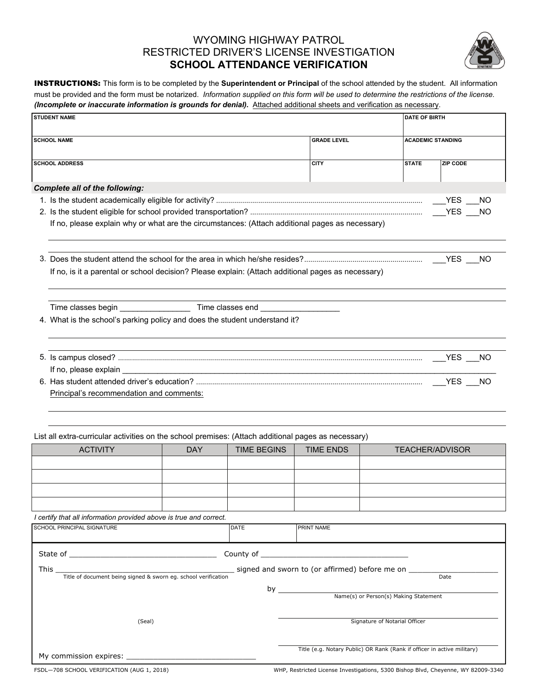# WYOMING HIGHWAY PATROL RESTRICTED DRIVER'S LICENSE INVESTIGATION **SCHOOL ATTENDANCE VERIFICATION**



INSTRUCTIONS: This form is to be completed by the **Superintendent or Principal** of the school attended by the student. All information must be provided and the form must be notarized. *Information supplied on this form will be used to determine the restrictions of the license. (Incomplete or inaccurate information is grounds for denial).* Attached additional sheets and verification as necessary.

| <b>STUDENT NAME</b>                                                                                                               |            |                    |                                                                         | <b>DATE OF BIRTH</b>                  |                 |           |
|-----------------------------------------------------------------------------------------------------------------------------------|------------|--------------------|-------------------------------------------------------------------------|---------------------------------------|-----------------|-----------|
| <b>SCHOOL NAME</b>                                                                                                                |            |                    | <b>GRADE LEVEL</b>                                                      | <b>ACADEMIC STANDING</b>              |                 |           |
|                                                                                                                                   |            |                    |                                                                         |                                       |                 |           |
| <b>SCHOOL ADDRESS</b>                                                                                                             |            |                    | <b>CITY</b>                                                             | <b>STATE</b>                          | <b>ZIP CODE</b> |           |
| <b>Complete all of the following:</b>                                                                                             |            |                    |                                                                         |                                       |                 |           |
|                                                                                                                                   |            |                    |                                                                         |                                       | <b>YES</b>      | <b>NO</b> |
|                                                                                                                                   |            |                    |                                                                         |                                       |                 |           |
| If no, please explain why or what are the circumstances: (Attach additional pages as necessary)                                   |            |                    |                                                                         |                                       |                 |           |
|                                                                                                                                   |            |                    |                                                                         |                                       |                 |           |
| If no, is it a parental or school decision? Please explain: (Attach additional pages as necessary)                                |            |                    |                                                                         |                                       |                 |           |
|                                                                                                                                   |            |                    |                                                                         |                                       |                 |           |
| 4. What is the school's parking policy and does the student understand it?                                                        |            |                    |                                                                         |                                       |                 |           |
|                                                                                                                                   |            |                    |                                                                         |                                       |                 |           |
| If no, please explain _________                                                                                                   |            |                    |                                                                         |                                       |                 |           |
|                                                                                                                                   |            |                    |                                                                         |                                       |                 |           |
| Principal's recommendation and comments:                                                                                          |            |                    |                                                                         |                                       |                 |           |
|                                                                                                                                   |            |                    |                                                                         |                                       |                 |           |
| List all extra-curricular activities on the school premises: (Attach additional pages as necessary)                               |            |                    |                                                                         |                                       |                 |           |
| <b>ACTIVITY</b>                                                                                                                   | <b>DAY</b> | <b>TIME BEGINS</b> | <b>TIME ENDS</b>                                                        | <b>TEACHER/ADVISOR</b>                |                 |           |
|                                                                                                                                   |            |                    |                                                                         |                                       |                 |           |
|                                                                                                                                   |            |                    |                                                                         |                                       |                 |           |
|                                                                                                                                   |            |                    |                                                                         |                                       |                 |           |
|                                                                                                                                   |            |                    |                                                                         |                                       |                 |           |
| I certify that all information provided above is true and correct.                                                                |            |                    |                                                                         |                                       |                 |           |
| SCHOOL PRINCIPAL SIGNATURE                                                                                                        |            | DATE               | PRINT NAME                                                              |                                       |                 |           |
|                                                                                                                                   |            |                    |                                                                         |                                       |                 |           |
| Title of document being signed & sworn eg. school verification signed and sworn to (or affirmed) before me on ______<br>This $\_$ |            |                    |                                                                         |                                       |                 |           |
|                                                                                                                                   |            |                    |                                                                         |                                       | Date            |           |
|                                                                                                                                   |            |                    | by $\overline{\phantom{a}}$                                             | Name(s) or Person(s) Making Statement |                 |           |
|                                                                                                                                   |            |                    |                                                                         |                                       |                 |           |
| (Seal)                                                                                                                            |            |                    |                                                                         | Signature of Notarial Officer         |                 |           |
|                                                                                                                                   |            |                    |                                                                         |                                       |                 |           |
|                                                                                                                                   |            |                    | Title (e.g. Notary Public) OR Rank (Rank if officer in active military) |                                       |                 |           |

FSDL—708 SCHOOL VERIFICATION (AUG 1, 2018)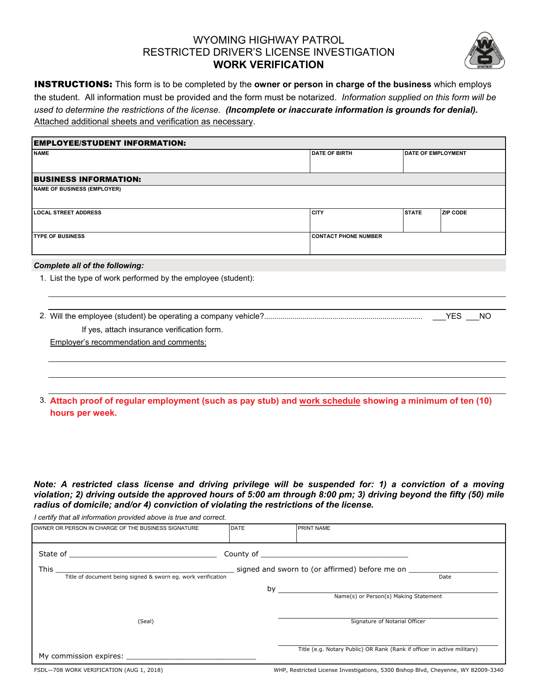### WYOMING HIGHWAY PATROL RESTRICTED DRIVER'S LICENSE INVESTIGATION **WORK VERIFICATION**



INSTRUCTIONS: This form is to be completed by the **owner or person in charge of the business** which employs the student. All information must be provided and the form must be notarized. *Information supplied on this form will be used to determine the restrictions of the license. (Incomplete or inaccurate information is grounds for denial).*  Attached additional sheets and verification as necessary.

| <b>EMPLOYEE/STUDENT INFORMATION:</b>  |                             |              |                           |  |  |  |
|---------------------------------------|-----------------------------|--------------|---------------------------|--|--|--|
| <b>NAME</b>                           | <b>DATE OF BIRTH</b>        |              | <b>DATE OF EMPLOYMENT</b> |  |  |  |
|                                       |                             |              |                           |  |  |  |
| <b>BUSINESS INFORMATION:</b>          |                             |              |                           |  |  |  |
| <b>NAME OF BUSINESS (EMPLOYER)</b>    |                             |              |                           |  |  |  |
| <b>LOCAL STREET ADDRESS</b>           | <b>CITY</b>                 | <b>STATE</b> | <b>ZIP CODE</b>           |  |  |  |
| <b>TYPE OF BUSINESS</b>               | <b>CONTACT PHONE NUMBER</b> |              |                           |  |  |  |
| <b>Complete all of the following:</b> |                             |              |                           |  |  |  |

1. List the type of work performed by the employee (student):

|  |  |  | 2. Will the employee (student) be operating a company vehicle? |  |
|--|--|--|----------------------------------------------------------------|--|
|  |  |  |                                                                |  |

2. Will the employee (student) be operating a company vehicle? ............................................................................... \_\_\_YES \_\_\_NO

If yes, attach insurance verification form.

Employer's recommendation and comments:

*I certify that all information provided above is true and correct.*

3. **Attach proof of regular employment (such as pay stub) and work schedule showing a minimum of ten (10) hours per week.** 

*Note: A restricted class license and driving privilege will be suspended for: 1) a conviction of a moving violation; 2) driving outside the approved hours of 5:00 am through 8:00 pm; 3) driving beyond the fifty (50) mile radius of domicile; and/or 4) conviction of violating the restrictions of the license.* 

| OWNER OR PERSON IN CHARGE OF THE BUSINESS SIGNATURE                  | <b>DATE</b> | <b>PRINT NAME</b>                                                       |      |
|----------------------------------------------------------------------|-------------|-------------------------------------------------------------------------|------|
| State of                                                             |             |                                                                         |      |
| This<br>Title of document being signed & sworn eg. work verification |             | signed and sworn to (or affirmed) before me on                          | Date |
|                                                                      | by          | Name(s) or Person(s) Making Statement                                   |      |
|                                                                      |             |                                                                         |      |
| (Seal)                                                               |             | Signature of Notarial Officer                                           |      |
|                                                                      |             |                                                                         |      |
| My commission expires: Note that the commission expires:             |             | Title (e.g. Notary Public) OR Rank (Rank if officer in active military) |      |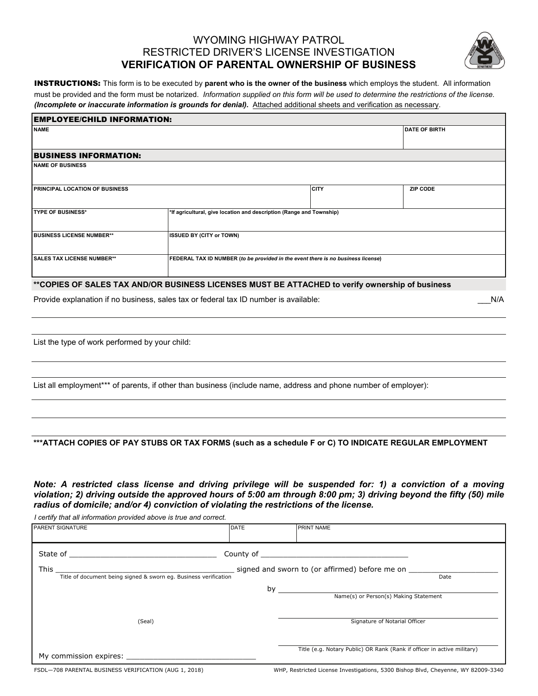### WYOMING HIGHWAY PATROL RESTRICTED DRIVER'S LICENSE INVESTIGATION **VERIFICATION OF PARENTAL OWNERSHIP OF BUSINESS**



INSTRUCTIONS: This form is to be executed by **parent who is the owner of the business** which employs the student. All information must be provided and the form must be notarized. *Information supplied on this form will be used to determine the restrictions of the license. (Incomplete or inaccurate information is grounds for denial).* Attached additional sheets and verification as necessary.

| <b>EMPLOYEE/CHILD INFORMATION:</b>                                                                                    |                                                                      |             |                      |  |
|-----------------------------------------------------------------------------------------------------------------------|----------------------------------------------------------------------|-------------|----------------------|--|
| <b>NAME</b>                                                                                                           |                                                                      |             | <b>DATE OF BIRTH</b> |  |
|                                                                                                                       |                                                                      |             |                      |  |
| <b>BUSINESS INFORMATION:</b>                                                                                          |                                                                      |             |                      |  |
| <b>INAME OF BUSINESS</b>                                                                                              |                                                                      |             |                      |  |
| <b>PRINCIPAL LOCATION OF BUSINESS</b>                                                                                 |                                                                      | <b>CITY</b> | <b>ZIP CODE</b>      |  |
| <b>ITYPE OF BUSINESS*</b>                                                                                             | *If agricultural, give location and description (Range and Township) |             |                      |  |
| <b>BUSINESS LICENSE NUMBER**</b>                                                                                      | <b>ISSUED BY (CITY or TOWN)</b>                                      |             |                      |  |
| <b>SALES TAX LICENSE NUMBER**</b><br>FEDERAL TAX ID NUMBER (to be provided in the event there is no business license) |                                                                      |             |                      |  |
| **COPIES OF SALES TAX AND/OR BUSINESS LICENSES MUST BE ATTACHED to verify ownership of business                       |                                                                      |             |                      |  |

Provide explanation if no business, sales tax or federal tax ID number is available:  $N/A$ 

List the type of work performed by your child:

List all employment<sup>\*\*\*</sup> of parents, if other than business (include name, address and phone number of employer):

#### **\*\*\*ATTACH COPIES OF PAY STUBS OR TAX FORMS (such as a schedule F or C) TO INDICATE REGULAR EMPLOYMENT**

*Note: A restricted class license and driving privilege will be suspended for: 1) a conviction of a moving violation; 2) driving outside the approved hours of 5:00 am through 8:00 pm; 3) driving beyond the fifty (50) mile radius of domicile; and/or 4) conviction of violating the restrictions of the license.* 

*I certify that all information provided above is true and correct.*

| PARENT SIGNATURE                                                                                                                                                                                                               | <b>DATE</b> | <b>PRINT NAME</b>                                                       |  |
|--------------------------------------------------------------------------------------------------------------------------------------------------------------------------------------------------------------------------------|-------------|-------------------------------------------------------------------------|--|
|                                                                                                                                                                                                                                |             |                                                                         |  |
| This<br>Title of document being signed & sworn eg. Business verification                                                                                                                                                       |             | signed and sworn to (or affirmed) before me on<br>Date                  |  |
|                                                                                                                                                                                                                                |             | by<br>Name(s) or Person(s) Making Statement                             |  |
| (Seal)                                                                                                                                                                                                                         |             | Signature of Notarial Officer                                           |  |
| My commission expires: Note that the commission expires to the control of the control of the control of the control of the control of the control of the control of the control of the control of the control of the control o |             | Title (e.g. Notary Public) OR Rank (Rank if officer in active military) |  |

FSDL—708 PARENTAL BUSINESS VERIFICATION (AUG 1, 2018)